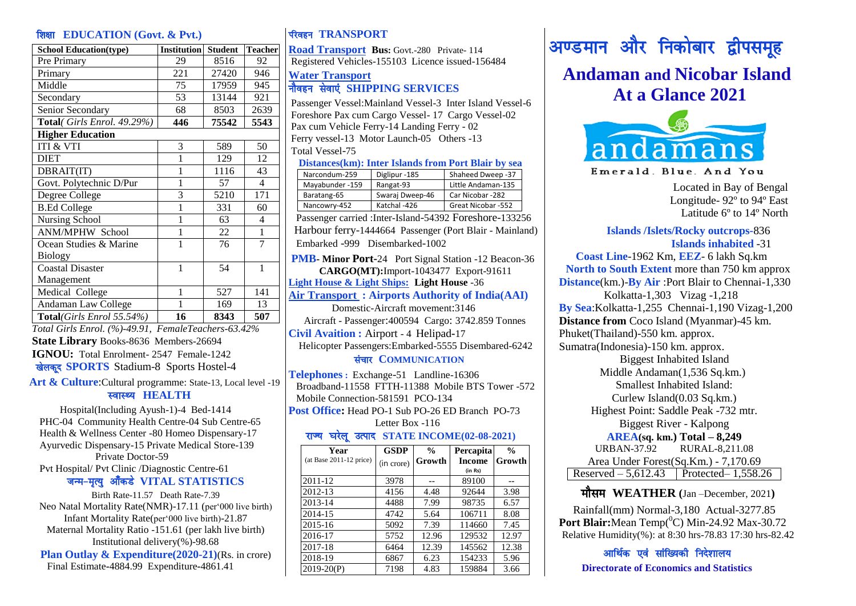#### **हिस्स EDUCATION** (Govt. & Pvt.)

| <b>School Education(type)</b> | <b>Institution</b> | <b>Student</b> | <b>Teacher</b>           |
|-------------------------------|--------------------|----------------|--------------------------|
| Pre Primary                   | 29                 | 8516           | 92                       |
| Primary                       | 221                | 27420          | 946                      |
| Middle                        | 75                 | 17959          | 945                      |
| Secondary                     | 53                 | 13144          | 921                      |
| Senior Secondary              | 68                 | 8503           | 2639                     |
| Total(Girls Enrol. 49.29%)    | 446                | 75542          | 5543                     |
| <b>Higher Education</b>       |                    |                |                          |
| <b>ITI &amp; VTI</b>          | 3                  | 589            | 50                       |
| <b>DIET</b>                   | 1                  | 129            | 12                       |
| DBRAIT(IT)                    | 1                  | 1116           | 43                       |
| Govt. Polytechnic D/Pur       | 1                  | 57             | $\overline{\mathcal{L}}$ |
| Degree College                | 3                  | 5210           | 171                      |
| <b>B.Ed College</b>           | 1                  | 331            | 60                       |
| Nursing School                | 1                  | 63             | 4                        |
| <b>ANM/MPHW School</b>        | 1                  | 22             | $\mathbf{1}$             |
| Ocean Studies & Marine        | 1                  | 76             | 7                        |
| <b>Biology</b>                |                    |                |                          |
| <b>Coastal Disaster</b>       | 1                  | 54             | 1                        |
| Management                    |                    |                |                          |
| Medical College               | 1                  | 527            | 141                      |
| Andaman Law College           |                    | 169            | 13                       |
| Total(Girls Enrol 55.54%)     | 16                 | 8343           | 507                      |

*Total Girls Enrol. (%)-49.91, FemaleTeachers-63.42%* **State Library** Books-8636 Members-26694 **IGNOU:** Total Enrolment- 2547 Female-1242 <u>खेलकर</u> SPORTS Stadium-8 Sports Hostel-4

**Art & Culture**:Cultural programme: State-13, Local level -19

#### स्वास्थ्य **HEALTH**

 Hospital(Including Ayush-1)-4 Bed-1414 PHC-04 Community Health Centre-04 Sub Centre-65 Health & Wellness Center -80 Homeo Dispensary-17 Ayurvedic Dispensary-15 Private Medical Store-139 Private Doctor-59 Pvt Hospital/ Pvt Clinic /Diagnostic Centre-61 जन्म-मृत्यु औंकडे VITAL STATISTICS

Birth Rate-11.57 Death Rate-7.39 Neo Natal Mortality Rate(NMR)-17.11 (per'000 live birth) Infant Mortality Rate(per'000 live birth)-21.87 Maternal Mortality Ratio -151.61 (per lakh live birth) Institutional delivery(%)-98.68

 **Plan Outlay & Expenditure(2020-21)**(Rs. in crore) Final Estimate**-**4884.99 Expenditure**-**4861.41

## **IGGET TRANSPORT**

**Road Transport Bus:** Govt.-280 Private- 114 Registered Vehicles-155103 Licence issued-156484

#### **Water Transport** ukSogu lsok,a **SHIPPING SERVICES**

Passenger Vessel:Mainland Vessel-3 Inter Island Vessel-6 Foreshore Pax cum Cargo Vessel- 17 Cargo Vessel-02 Pax cum Vehicle Ferry-14 Landing Ferry - 02 Ferry vessel-13 Motor Launch-05 Others -13 Total Vessel-75

#### **Distances(km): Inter Islands from Port Blair by sea**

| Narcondum-259   | Diglipur -185   | Shaheed Dweep -37  |
|-----------------|-----------------|--------------------|
| Mavabunder -159 | Rangat-93       | Little Andaman-135 |
| Baratang-65     | Swaraj Dweep-46 | Car Nicobar -282   |
| Nancowry-452    | Katchal -426    | Great Nicobar -552 |

Passenger carried :Inter-Island-54392 Foreshore-133256 Harbour ferry-1444664 Passenger (Port Blair - Mainland) Embarked -999 Disembarked-1002

**PMB- Minor Port-**24 Port Signal Station -12 Beacon-36 **CARGO(MT):**Import-1043477 Export-91611 **Light House & Light Ships: Light House** -36 **Air Transport : Airports Authority of India(AAI)** Domestic-Aircraft movement:3146 Aircraft - Passenger:400594 Cargo: 3742.859 Tonnes **Civil Avaition :** Airport - 4 Helipad**-**17

 Helicopter Passengers:Embarked-5555 Disembared-6242 संचार **COMMUNICATION** 

**Telephones :** Exchange-51 Landline-16306 Broadband-11558 FTTH-11388 Mobile BTS Tower -572 Mobile Connection-581591 PCO-134 **Post Office:** Head PO-1 Sub PO-26 ED Branch PO-73 Letter Box -116 <u>घरेलू उत्पाद STATE INCOME(02-08-2021)</u>

| Year                      | <b>GSDP</b> | $\frac{0}{0}$ | <b>Percapita</b> | $\frac{0}{0}$ |
|---------------------------|-------------|---------------|------------------|---------------|
| $(at Base 2011-12 price)$ | (in crore)  | Growth        | <b>Income</b>    | Growth        |
|                           |             |               | (in Rs)          |               |
| 2011-12                   | 3978        |               | 89100            |               |
| 2012-13                   | 4156        | 4.48          | 92644            | 3.98          |
| 2013-14                   | 4488        | 7.99          | 98735            | 6.57          |
| 2014-15                   | 4742        | 5.64          | 106711           | 8.08          |
| 2015-16                   | 5092        | 7.39          | 114660           | 7.45          |
| 2016-17                   | 5752        | 12.96         | 129532           | 12.97         |
| 2017-18                   | 6464        | 12.39         | 145562           | 12.38         |
| 2018-19                   | 6867        | 6.23          | 154233           | 5.96          |
| $2019-20(P)$              | 7198        | 4.83          | 159884           | 3.66          |

# अण्डमान और निकोबार द्वीपसमूह

## **Andaman and Nicobar Island At a Glance 2021**



Emerald. Blue. And You

Located in Bay of Bengal Longitude- 92º to 94º East Latitude 6º to 14º North

#### **Islands /Islets/Rocky outcrops-**836  **Islands inhabited** -31

 **Coast Line**-1962 Km, **EEZ**- 6 lakh Sq.km **North to South Extent** more than 750 km approx  **Distance**(km.)-**By Air** :Port Blair to Chennai-1,330 Kolkatta-1,303 Vizag -1,218  **By Sea**:Kolkatta-1,255 Chennai-1,190 Vizag-1,200  **Distance from** Coco Island (Myanmar)-45 km. Phuket(Thailand)-550 km. approx. Sumatra(Indonesia)-150 km. approx. Biggest Inhabited Island Middle Andaman(1,536 Sq.km.) Smallest Inhabited Island: Curlew Island(0.03 Sq.km.) Highest Point: Saddle Peak -732 mtr. Biggest River - Kalpong **AREA(sq. km.) Total – 8,249** URBAN-37.92 RURAL-8,211.08 Area Under Forest(Sq.Km.) - 7,170.69 Reserved – 5,612.43 | Protected – 1,558.26

#### ek Sle **WEATHER (**Jan –December, 2021**)**

Rainfall(mm) Normal-3,180 Actual-3277.85 Port Blair: Mean Temp<sup>(0</sup>C) Min-24.92 Max-30.72 Relative Humidity(%): at 8:30 hrs-78.83 17:30 hrs-82.42

आर्थिक एवं सांख्यिकी निदेशालय **Directorate of Economics and Statistics**